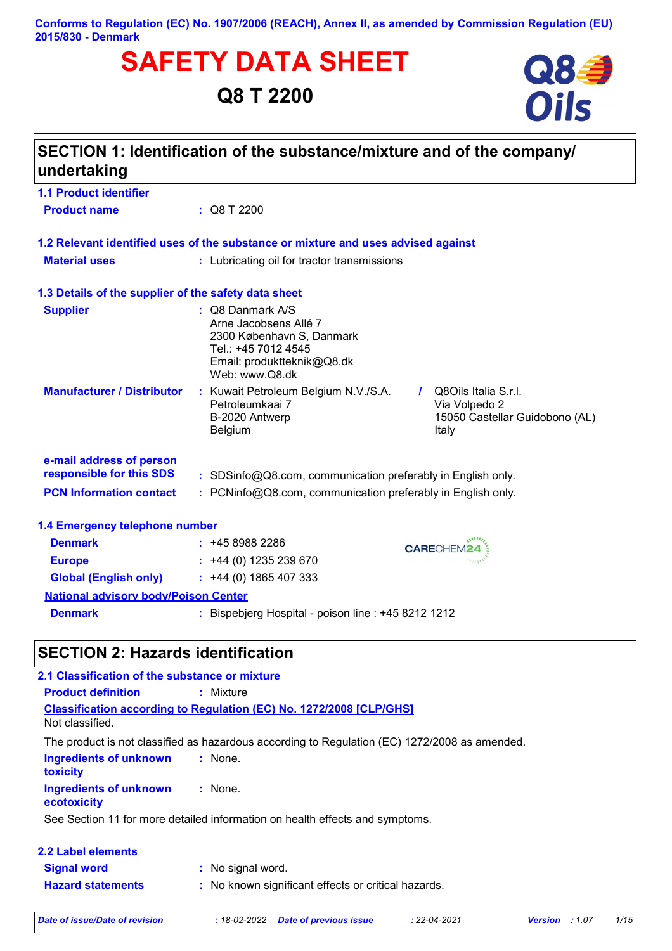#### **Conforms to Regulation (EC) No. 1907/2006 (REACH), Annex II, as amended by Commission Regulation (EU) 2015/830 - Denmark**

# **SAFETY DATA SHEET**<br>Q8 T 2200<br>**Oils**

# **Q8 T 2200**



| undertaking                                          | SECTION 1: Identification of the substance/mixture and of the company/                                                                                                                          |  |
|------------------------------------------------------|-------------------------------------------------------------------------------------------------------------------------------------------------------------------------------------------------|--|
| <b>1.1 Product identifier</b>                        |                                                                                                                                                                                                 |  |
| <b>Product name</b>                                  | : Q8 T 2200                                                                                                                                                                                     |  |
|                                                      | 1.2 Relevant identified uses of the substance or mixture and uses advised against                                                                                                               |  |
| <b>Material uses</b>                                 | : Lubricating oil for tractor transmissions                                                                                                                                                     |  |
| 1.3 Details of the supplier of the safety data sheet |                                                                                                                                                                                                 |  |
| <b>Supplier</b>                                      | $\therefore$ Q8 Danmark A/S<br>Arne Jacobsens Allé 7<br>2300 København S, Danmark<br>Tel.: +45 7012 4545<br>Email: produktteknik@Q8.dk<br>Web: www.Q8.dk                                        |  |
| <b>Manufacturer / Distributor</b>                    | : Kuwait Petroleum Belgium N.V./S.A.<br>Q8Oils Italia S.r.l.<br>$\mathbf{I}$<br>Petroleumkaai 7<br>Via Volpedo 2<br>B-2020 Antwerp<br>15050 Castellar Guidobono (AL)<br><b>Belgium</b><br>Italy |  |
| e-mail address of person<br>responsible for this SDS | : SDSinfo@Q8.com, communication preferably in English only.                                                                                                                                     |  |
| <b>PCN Information contact</b>                       | : PCNinfo@Q8.com, communication preferably in English only.                                                                                                                                     |  |
| 1.4 Emergency telephone number                       |                                                                                                                                                                                                 |  |
| <b>Denmark</b>                                       | $: +4589882286$<br><b>CARECHEM24</b>                                                                                                                                                            |  |
| <b>Europe</b>                                        | 11111<br>$\div$ +44 (0) 1235 239 670                                                                                                                                                            |  |
| <b>Global (English only)</b>                         | $: +44(0)1865407333$                                                                                                                                                                            |  |
| <b>National advisory body/Poison Center</b>          |                                                                                                                                                                                                 |  |
| <b>Denmark</b>                                       | : Bispebjerg Hospital - poison line : +45 8212 1212                                                                                                                                             |  |

# **SECTION 2: Hazards identification**

| 2.1 Classification of the substance or mixture   |                                                                                               |
|--------------------------------------------------|-----------------------------------------------------------------------------------------------|
| <b>Product definition</b>                        | : Mixture                                                                                     |
| Not classified.                                  | <b>Classification according to Regulation (EC) No. 1272/2008 [CLP/GHS]</b>                    |
|                                                  | The product is not classified as hazardous according to Regulation (EC) 1272/2008 as amended. |
| <b>Ingredients of unknown</b><br><b>toxicity</b> | : None.                                                                                       |
| <b>Ingredients of unknown</b><br>ecotoxicity     | $:$ None.                                                                                     |
|                                                  | See Section 11 for more detailed information on health effects and symptoms.                  |
| 2.2 Label elements                               |                                                                                               |
| <b>Signal word</b>                               | : No signal word.                                                                             |
| <b>Hazard statements</b>                         | : No known significant effects or critical hazards.                                           |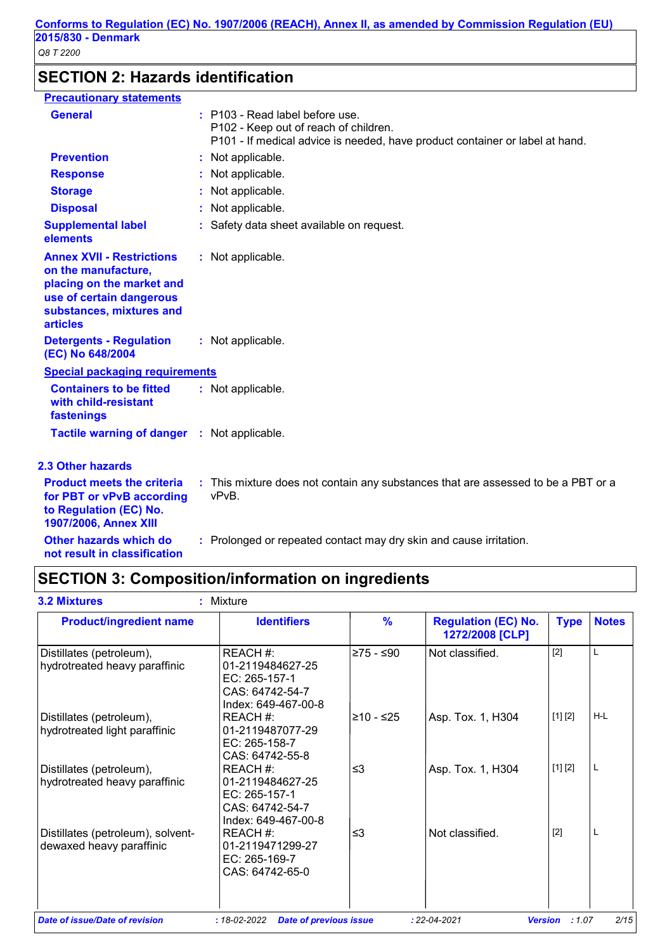# **SECTION 2: Hazards identification**

| <b>Precautionary statements</b>                                                                                                                                 |                                                                                                                                                          |
|-----------------------------------------------------------------------------------------------------------------------------------------------------------------|----------------------------------------------------------------------------------------------------------------------------------------------------------|
| <b>General</b>                                                                                                                                                  | : P103 - Read label before use.<br>P102 - Keep out of reach of children.<br>P101 - If medical advice is needed, have product container or label at hand. |
| <b>Prevention</b>                                                                                                                                               | : Not applicable.                                                                                                                                        |
| <b>Response</b>                                                                                                                                                 | : Not applicable.                                                                                                                                        |
| <b>Storage</b>                                                                                                                                                  | : Not applicable.                                                                                                                                        |
| <b>Disposal</b>                                                                                                                                                 | : Not applicable.                                                                                                                                        |
| <b>Supplemental label</b><br>elements                                                                                                                           | : Safety data sheet available on request.                                                                                                                |
| <b>Annex XVII - Restrictions</b><br>on the manufacture,<br>placing on the market and<br>use of certain dangerous<br>substances, mixtures and<br><b>articles</b> | : Not applicable.                                                                                                                                        |
| <b>Detergents - Regulation</b><br>(EC) No 648/2004                                                                                                              | : Not applicable.                                                                                                                                        |
| <b>Special packaging requirements</b>                                                                                                                           |                                                                                                                                                          |
| <b>Containers to be fitted</b><br>with child-resistant<br>fastenings                                                                                            | : Not applicable.                                                                                                                                        |
| Tactile warning of danger : Not applicable.                                                                                                                     |                                                                                                                                                          |
| <b>2.3 Other hazards</b>                                                                                                                                        |                                                                                                                                                          |
| <b>Product meets the criteria</b><br>for PBT or vPvB according<br>to Regulation (EC) No.<br>1907/2006, Annex XIII                                               | : This mixture does not contain any substances that are assessed to be a PBT or a<br>vPvB.                                                               |
| Other hazards which do<br>not result in classification                                                                                                          | : Prolonged or repeated contact may dry skin and cause irritation.                                                                                       |

# **SECTION 3: Composition/information on ingredients**

| <b>Product/ingredient name</b>                                | <b>Identifiers</b>                                                                      | $\frac{9}{6}$ | <b>Regulation (EC) No.</b><br>1272/2008 [CLP] | <b>Type</b> | <b>Notes</b> |
|---------------------------------------------------------------|-----------------------------------------------------------------------------------------|---------------|-----------------------------------------------|-------------|--------------|
| Distillates (petroleum),<br>hydrotreated heavy paraffinic     | REACH #:<br>01-2119484627-25<br>EC: 265-157-1<br>CAS: 64742-54-7<br>Index: 649-467-00-8 | ≥75 - ≤90     | Not classified.                               | $[2]$       | L            |
| Distillates (petroleum),<br>hydrotreated light paraffinic     | REACH #:<br>01-2119487077-29<br>EC: 265-158-7<br>CAS: 64742-55-8                        | ≥10 - ≤25     | Asp. Tox. 1, H304                             | [1] [2]     | $H-L$        |
| Distillates (petroleum),<br>hydrotreated heavy paraffinic     | REACH #:<br>01-2119484627-25<br>EC: 265-157-1<br>CAS: 64742-54-7<br>Index: 649-467-00-8 | ≤3            | Asp. Tox. 1, H304                             | [1] [2]     | L            |
| Distillates (petroleum), solvent-<br>dewaxed heavy paraffinic | REACH #:<br>01-2119471299-27<br>EC: 265-169-7<br>CAS: 64742-65-0                        | $\leq$ 3      | Not classified.                               | $[2]$       |              |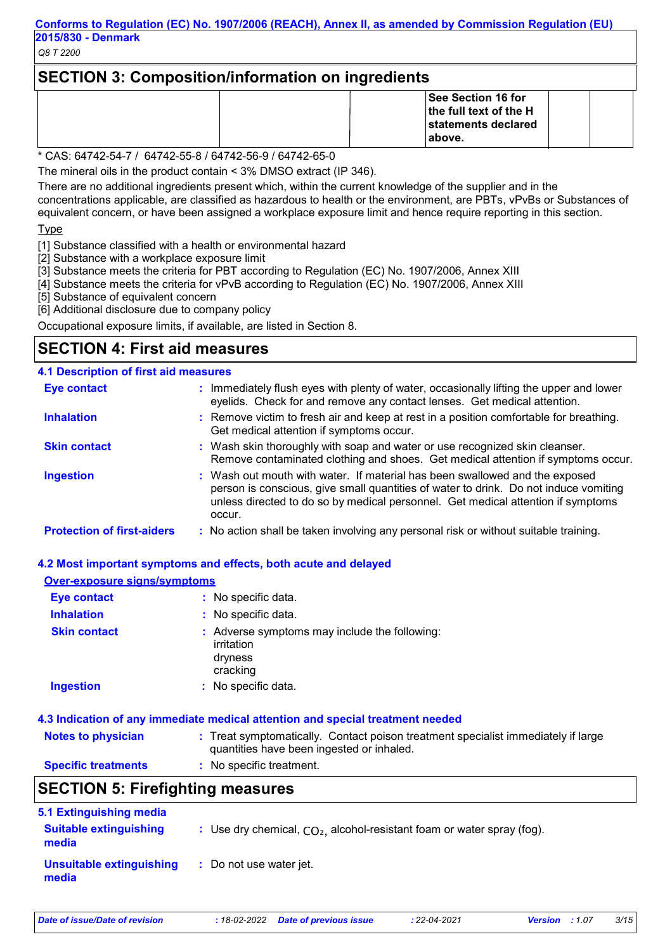# **SECTION 3: Composition/information on ingredients**

|  | See Section 16 for<br>the full text of the H<br>statements declared<br>∣above. |  |
|--|--------------------------------------------------------------------------------|--|
|--|--------------------------------------------------------------------------------|--|

\* CAS: 64742-54-7 / 64742-55-8 / 64742-56-9 / 64742-65-0

The mineral oils in the product contain < 3% DMSO extract (IP 346).

There are no additional ingredients present which, within the current knowledge of the supplier and in the concentrations applicable, are classified as hazardous to health or the environment, are PBTs, vPvBs or Substances of equivalent concern, or have been assigned a workplace exposure limit and hence require reporting in this section.

**Type** 

[1] Substance classified with a health or environmental hazard

[2] Substance with a workplace exposure limit

[3] Substance meets the criteria for PBT according to Regulation (EC) No. 1907/2006, Annex XIII

[4] Substance meets the criteria for vPvB according to Regulation (EC) No. 1907/2006, Annex XIII

[5] Substance of equivalent concern

[6] Additional disclosure due to company policy

Occupational exposure limits, if available, are listed in Section 8.

## **SECTION 4: First aid measures**

#### **4.1 Description of first aid measures**

| <b>Eye contact</b>                | : Immediately flush eyes with plenty of water, occasionally lifting the upper and lower<br>eyelids. Check for and remove any contact lenses. Get medical attention.                                                                                               |
|-----------------------------------|-------------------------------------------------------------------------------------------------------------------------------------------------------------------------------------------------------------------------------------------------------------------|
| <b>Inhalation</b>                 | : Remove victim to fresh air and keep at rest in a position comfortable for breathing.<br>Get medical attention if symptoms occur.                                                                                                                                |
| <b>Skin contact</b>               | : Wash skin thoroughly with soap and water or use recognized skin cleanser.<br>Remove contaminated clothing and shoes. Get medical attention if symptoms occur.                                                                                                   |
| <b>Ingestion</b>                  | : Wash out mouth with water. If material has been swallowed and the exposed<br>person is conscious, give small quantities of water to drink. Do not induce vomiting<br>unless directed to do so by medical personnel. Get medical attention if symptoms<br>occur. |
| <b>Protection of first-aiders</b> | : No action shall be taken involving any personal risk or without suitable training.                                                                                                                                                                              |

#### **4.2 Most important symptoms and effects, both acute and delayed**

#### **Over-exposure signs/symptoms**

| <b>Eye contact</b>  | : No specific data.                                                                |
|---------------------|------------------------------------------------------------------------------------|
| <b>Inhalation</b>   | : No specific data.                                                                |
| <b>Skin contact</b> | : Adverse symptoms may include the following:<br>irritation<br>dryness<br>cracking |
| Ingestion           | : No specific data.                                                                |

#### **4.3 Indication of any immediate medical attention and special treatment needed**

| <b>Notes to physician</b>  | : Treat symptomatically. Contact poison treatment specialist immediately if large |
|----------------------------|-----------------------------------------------------------------------------------|
|                            | quantities have been ingested or inhaled.                                         |
| <b>Specific treatments</b> | <b>:</b> No specific treatment.                                                   |

# **SECTION 5: Firefighting measures**

| 5.1 Extinguishing media                |                                                                          |
|----------------------------------------|--------------------------------------------------------------------------|
| <b>Suitable extinguishing</b><br>media | : Use dry chemical, $CO2$ , alcohol-resistant foam or water spray (fog). |
| Unsuitable extinguishing<br>media      | : Do not use water jet.                                                  |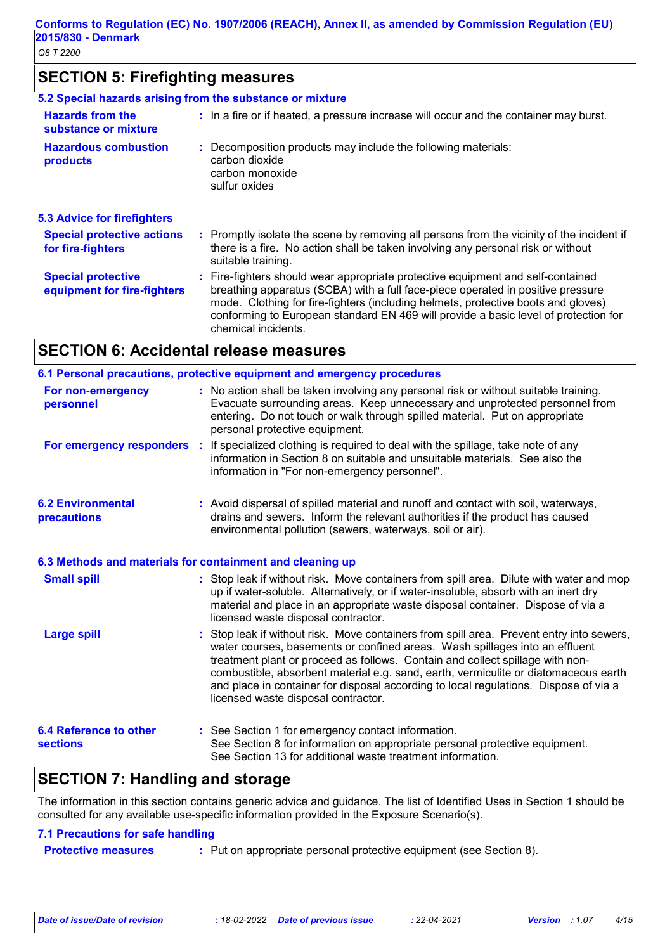# **SECTION 5: Firefighting measures**

|                                                          | 5.2 Special hazards arising from the substance or mixture                                                                                                                                                                                                                                                                                                             |
|----------------------------------------------------------|-----------------------------------------------------------------------------------------------------------------------------------------------------------------------------------------------------------------------------------------------------------------------------------------------------------------------------------------------------------------------|
| <b>Hazards from the</b><br>substance or mixture          | : In a fire or if heated, a pressure increase will occur and the container may burst.                                                                                                                                                                                                                                                                                 |
| <b>Hazardous combustion</b><br>products                  | : Decomposition products may include the following materials:<br>carbon dioxide<br>carbon monoxide<br>sulfur oxides                                                                                                                                                                                                                                                   |
| <b>5.3 Advice for firefighters</b>                       |                                                                                                                                                                                                                                                                                                                                                                       |
| <b>Special protective actions</b><br>for fire-fighters   | : Promptly isolate the scene by removing all persons from the vicinity of the incident if<br>there is a fire. No action shall be taken involving any personal risk or without<br>suitable training.                                                                                                                                                                   |
| <b>Special protective</b><br>equipment for fire-fighters | : Fire-fighters should wear appropriate protective equipment and self-contained<br>breathing apparatus (SCBA) with a full face-piece operated in positive pressure<br>mode. Clothing for fire-fighters (including helmets, protective boots and gloves)<br>conforming to European standard EN 469 will provide a basic level of protection for<br>chemical incidents. |

## **SECTION 6: Accidental release measures**

|                                                           | 6.1 Personal precautions, protective equipment and emergency procedures                                                                                                                                                                                                                                                                                                                                                                                                      |
|-----------------------------------------------------------|------------------------------------------------------------------------------------------------------------------------------------------------------------------------------------------------------------------------------------------------------------------------------------------------------------------------------------------------------------------------------------------------------------------------------------------------------------------------------|
| For non-emergency<br>personnel                            | : No action shall be taken involving any personal risk or without suitable training.<br>Evacuate surrounding areas. Keep unnecessary and unprotected personnel from<br>entering. Do not touch or walk through spilled material. Put on appropriate<br>personal protective equipment.                                                                                                                                                                                         |
|                                                           | For emergency responders : If specialized clothing is required to deal with the spillage, take note of any<br>information in Section 8 on suitable and unsuitable materials. See also the<br>information in "For non-emergency personnel".                                                                                                                                                                                                                                   |
| <b>6.2 Environmental</b><br>precautions                   | : Avoid dispersal of spilled material and runoff and contact with soil, waterways,<br>drains and sewers. Inform the relevant authorities if the product has caused<br>environmental pollution (sewers, waterways, soil or air).                                                                                                                                                                                                                                              |
| 6.3 Methods and materials for containment and cleaning up |                                                                                                                                                                                                                                                                                                                                                                                                                                                                              |
| <b>Small spill</b>                                        | : Stop leak if without risk. Move containers from spill area. Dilute with water and mop<br>up if water-soluble. Alternatively, or if water-insoluble, absorb with an inert dry<br>material and place in an appropriate waste disposal container. Dispose of via a<br>licensed waste disposal contractor.                                                                                                                                                                     |
| <b>Large spill</b>                                        | Stop leak if without risk. Move containers from spill area. Prevent entry into sewers,<br>water courses, basements or confined areas. Wash spillages into an effluent<br>treatment plant or proceed as follows. Contain and collect spillage with non-<br>combustible, absorbent material e.g. sand, earth, vermiculite or diatomaceous earth<br>and place in container for disposal according to local regulations. Dispose of via a<br>licensed waste disposal contractor. |
| <b>6.4 Reference to other</b><br><b>sections</b>          | : See Section 1 for emergency contact information.<br>See Section 8 for information on appropriate personal protective equipment.<br>See Section 13 for additional waste treatment information.                                                                                                                                                                                                                                                                              |
| <b>SECTION 7: Handling and storage</b>                    |                                                                                                                                                                                                                                                                                                                                                                                                                                                                              |

The information in this section contains generic advice and guidance. The list of Identified Uses in Section 1 should be consulted for any available use-specific information provided in the Exposure Scenario(s).

#### **7.1 Precautions for safe handling**

| <b>Protective measures</b> | : Put on appropriate personal protective equipment (see Section 8). |  |
|----------------------------|---------------------------------------------------------------------|--|
|----------------------------|---------------------------------------------------------------------|--|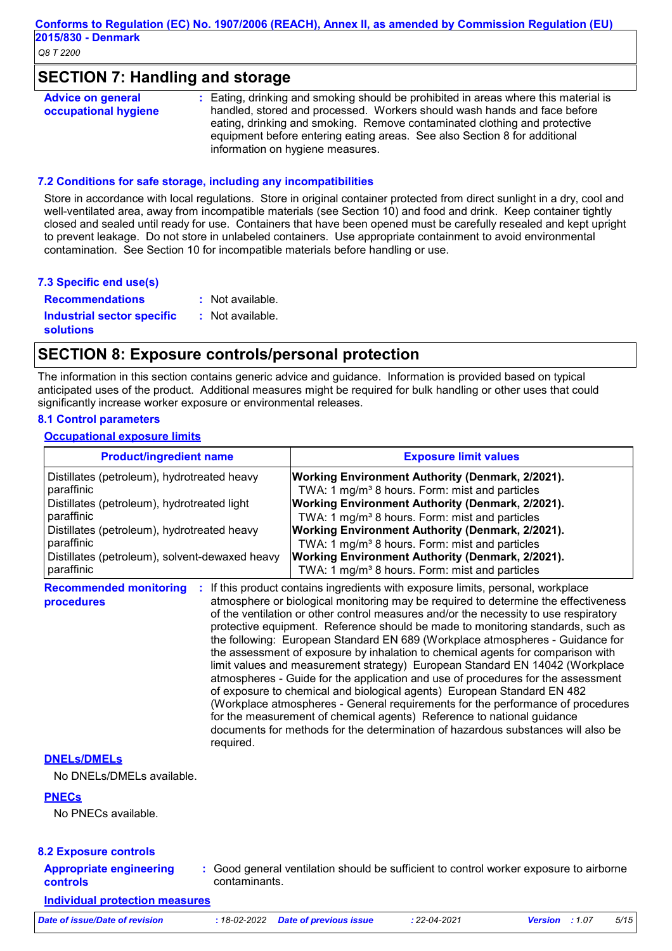## **SECTION 7: Handling and storage**

| <b>Advice on general</b> | : Eating, drinking and smoking should be prohibited in areas where this material is |
|--------------------------|-------------------------------------------------------------------------------------|
| occupational hygiene     | handled, stored and processed. Workers should wash hands and face before            |
|                          | eating, drinking and smoking. Remove contaminated clothing and protective           |
|                          | equipment before entering eating areas. See also Section 8 for additional           |
|                          | information on hygiene measures.                                                    |

#### **7.2 Conditions for safe storage, including any incompatibilities**

Store in accordance with local regulations. Store in original container protected from direct sunlight in a dry, cool and well-ventilated area, away from incompatible materials (see Section 10) and food and drink. Keep container tightly closed and sealed until ready for use. Containers that have been opened must be carefully resealed and kept upright to prevent leakage. Do not store in unlabeled containers. Use appropriate containment to avoid environmental contamination. See Section 10 for incompatible materials before handling or use.

#### **7.3 Specific end use(s)**

**Recommendations : Industrial sector specific : solutions** : Not available. : Not available.

## **SECTION 8: Exposure controls/personal protection**

required.

The information in this section contains generic advice and guidance. Information is provided based on typical anticipated uses of the product. Additional measures might be required for bulk handling or other uses that could significantly increase worker exposure or environmental releases.

#### **8.1 Control parameters**

#### **Occupational exposure limits**

| <b>Product/ingredient name</b>                   | <b>Exposure limit values</b>                                                                                                                                                                                                                                                                                                                                                                                                                                                                                                                                                                                                                                                                                                                                                                                                                                                                                                    |
|--------------------------------------------------|---------------------------------------------------------------------------------------------------------------------------------------------------------------------------------------------------------------------------------------------------------------------------------------------------------------------------------------------------------------------------------------------------------------------------------------------------------------------------------------------------------------------------------------------------------------------------------------------------------------------------------------------------------------------------------------------------------------------------------------------------------------------------------------------------------------------------------------------------------------------------------------------------------------------------------|
| Distillates (petroleum), hydrotreated heavy      | Working Environment Authority (Denmark, 2/2021).                                                                                                                                                                                                                                                                                                                                                                                                                                                                                                                                                                                                                                                                                                                                                                                                                                                                                |
| paraffinic                                       | TWA: 1 mg/m <sup>3</sup> 8 hours. Form: mist and particles                                                                                                                                                                                                                                                                                                                                                                                                                                                                                                                                                                                                                                                                                                                                                                                                                                                                      |
| Distillates (petroleum), hydrotreated light      | Working Environment Authority (Denmark, 2/2021).                                                                                                                                                                                                                                                                                                                                                                                                                                                                                                                                                                                                                                                                                                                                                                                                                                                                                |
| paraffinic                                       | TWA: 1 mg/m <sup>3</sup> 8 hours. Form: mist and particles                                                                                                                                                                                                                                                                                                                                                                                                                                                                                                                                                                                                                                                                                                                                                                                                                                                                      |
| Distillates (petroleum), hydrotreated heavy      | <b>Working Environment Authority (Denmark, 2/2021).</b>                                                                                                                                                                                                                                                                                                                                                                                                                                                                                                                                                                                                                                                                                                                                                                                                                                                                         |
| paraffinic                                       | TWA: 1 mg/m <sup>3</sup> 8 hours. Form: mist and particles                                                                                                                                                                                                                                                                                                                                                                                                                                                                                                                                                                                                                                                                                                                                                                                                                                                                      |
| Distillates (petroleum), solvent-dewaxed heavy   | <b>Working Environment Authority (Denmark, 2/2021).</b>                                                                                                                                                                                                                                                                                                                                                                                                                                                                                                                                                                                                                                                                                                                                                                                                                                                                         |
| paraffinic                                       | TWA: 1 mg/m <sup>3</sup> 8 hours. Form: mist and particles                                                                                                                                                                                                                                                                                                                                                                                                                                                                                                                                                                                                                                                                                                                                                                                                                                                                      |
| <b>Recommended monitoring</b><br>÷<br>procedures | If this product contains ingredients with exposure limits, personal, workplace<br>atmosphere or biological monitoring may be required to determine the effectiveness<br>of the ventilation or other control measures and/or the necessity to use respiratory<br>protective equipment. Reference should be made to monitoring standards, such as<br>the following: European Standard EN 689 (Workplace atmospheres - Guidance for<br>the assessment of exposure by inhalation to chemical agents for comparison with<br>limit values and measurement strategy) European Standard EN 14042 (Workplace<br>atmospheres - Guide for the application and use of procedures for the assessment<br>of exposure to chemical and biological agents) European Standard EN 482<br>(Workplace atmospheres - General requirements for the performance of procedures<br>for the measurement of chemical agents) Reference to national guidance |

#### **DNELs/DMELs**

No DNELs/DMELs available.

#### **PNECs**

No PNECs available.

#### **8.2 Exposure controls**

- **Appropriate engineering controls**
- **:** Good general ventilation should be sufficient to control worker exposure to airborne contaminants.

documents for methods for the determination of hazardous substances will also be

**Individual protection measures**

| Date of issue/Date of revision | : 18-02-2022 Date of previous issue | : 22-04-2021 | <b>Version</b> : 1.07 | 5/15 |
|--------------------------------|-------------------------------------|--------------|-----------------------|------|
|                                |                                     |              |                       |      |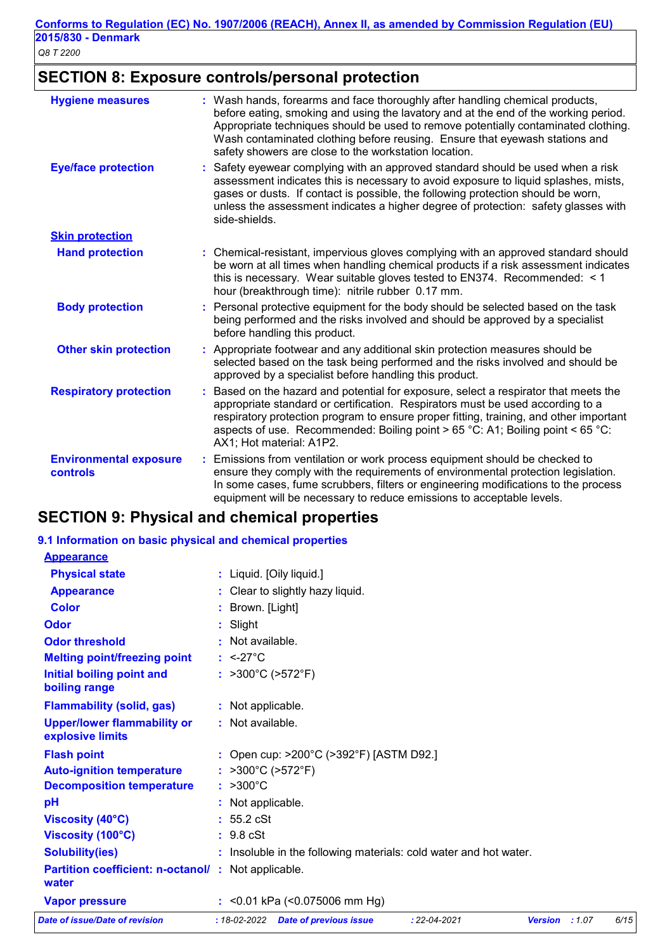# **SECTION 8: Exposure controls/personal protection**

| <b>Hygiene measures</b>                   | Wash hands, forearms and face thoroughly after handling chemical products,<br>before eating, smoking and using the lavatory and at the end of the working period.<br>Appropriate techniques should be used to remove potentially contaminated clothing.<br>Wash contaminated clothing before reusing. Ensure that eyewash stations and<br>safety showers are close to the workstation location. |
|-------------------------------------------|-------------------------------------------------------------------------------------------------------------------------------------------------------------------------------------------------------------------------------------------------------------------------------------------------------------------------------------------------------------------------------------------------|
| <b>Eye/face protection</b>                | Safety eyewear complying with an approved standard should be used when a risk<br>assessment indicates this is necessary to avoid exposure to liquid splashes, mists,<br>gases or dusts. If contact is possible, the following protection should be worn,<br>unless the assessment indicates a higher degree of protection: safety glasses with<br>side-shields.                                 |
| <b>Skin protection</b>                    |                                                                                                                                                                                                                                                                                                                                                                                                 |
| <b>Hand protection</b>                    | : Chemical-resistant, impervious gloves complying with an approved standard should<br>be worn at all times when handling chemical products if a risk assessment indicates<br>this is necessary. Wear suitable gloves tested to EN374. Recommended: < 1<br>hour (breakthrough time): nitrile rubber 0.17 mm.                                                                                     |
| <b>Body protection</b>                    | Personal protective equipment for the body should be selected based on the task<br>being performed and the risks involved and should be approved by a specialist<br>before handling this product.                                                                                                                                                                                               |
| <b>Other skin protection</b>              | Appropriate footwear and any additional skin protection measures should be<br>selected based on the task being performed and the risks involved and should be<br>approved by a specialist before handling this product.                                                                                                                                                                         |
| <b>Respiratory protection</b>             | Based on the hazard and potential for exposure, select a respirator that meets the<br>÷.<br>appropriate standard or certification. Respirators must be used according to a<br>respiratory protection program to ensure proper fitting, training, and other important<br>aspects of use. Recommended: Boiling point > 65 °C: A1; Boiling point < 65 °C:<br>AX1; Hot material: A1P2.              |
| <b>Environmental exposure</b><br>controls | Emissions from ventilation or work process equipment should be checked to<br>ensure they comply with the requirements of environmental protection legislation.<br>In some cases, fume scrubbers, filters or engineering modifications to the process<br>equipment will be necessary to reduce emissions to acceptable levels.                                                                   |

# **SECTION 9: Physical and chemical properties**

#### **9.1 Information on basic physical and chemical properties**

| <b>Appearance</b>                                                  |                                                                   |                    |                |      |
|--------------------------------------------------------------------|-------------------------------------------------------------------|--------------------|----------------|------|
| <b>Physical state</b>                                              | : Liquid. [Oily liquid.]                                          |                    |                |      |
| <b>Appearance</b>                                                  | : Clear to slightly hazy liquid.                                  |                    |                |      |
| <b>Color</b>                                                       | : Brown. [Light]                                                  |                    |                |      |
| Odor                                                               | $:$ Slight                                                        |                    |                |      |
| <b>Odor threshold</b>                                              | : Not available.                                                  |                    |                |      |
| <b>Melting point/freezing point</b>                                | : $\leq$ -27°C                                                    |                    |                |      |
| Initial boiling point and<br>boiling range                         | : $>300^{\circ}$ C ( $>572^{\circ}$ F)                            |                    |                |      |
| <b>Flammability (solid, gas)</b>                                   | : Not applicable.                                                 |                    |                |      |
| <b>Upper/lower flammability or</b><br>explosive limits             | $:$ Not available.                                                |                    |                |      |
| <b>Flash point</b>                                                 | : Open cup: $>200^{\circ}$ C ( $>392^{\circ}$ F) [ASTM D92.]      |                    |                |      |
| <b>Auto-ignition temperature</b>                                   | : $>300^{\circ}$ C ( $>572^{\circ}$ F)                            |                    |                |      |
| <b>Decomposition temperature</b>                                   | $: >300^{\circ}C$                                                 |                    |                |      |
| pH                                                                 | : Not applicable.                                                 |                    |                |      |
| Viscosity (40°C)                                                   | : 55.2 cSt                                                        |                    |                |      |
| Viscosity (100°C)                                                  | $: 9.8$ cSt                                                       |                    |                |      |
| <b>Solubility(ies)</b>                                             | : Insoluble in the following materials: cold water and hot water. |                    |                |      |
| <b>Partition coefficient: n-octanol/: Not applicable.</b><br>water |                                                                   |                    |                |      |
| <b>Vapor pressure</b>                                              | : <0.01 kPa $($ <0.075006 mm Hg)                                  |                    |                |      |
| Date of issue/Date of revision                                     | $:18-02-2022$<br><b>Date of previous issue</b>                    | $: 22 - 04 - 2021$ | Version : 1.07 | 6/15 |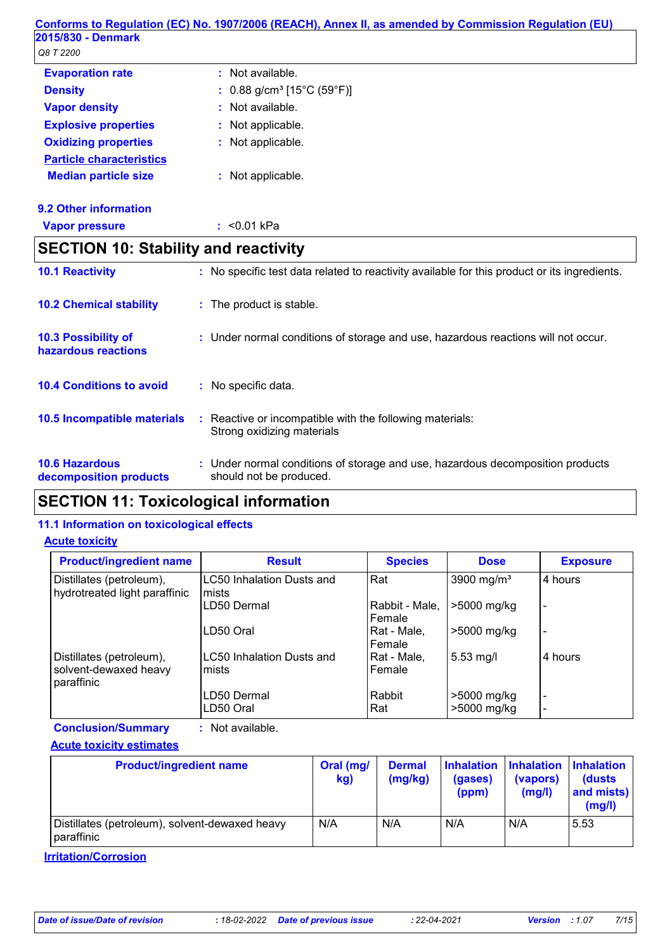|                                                 | Conforms to Regulation (EC) No. 1907/2006 (REACH), Annex II, as amended by Commission Regulation (EU)     |
|-------------------------------------------------|-----------------------------------------------------------------------------------------------------------|
| 2015/830 - Denmark                              |                                                                                                           |
| Q8 T 2200                                       |                                                                                                           |
| <b>Evaporation rate</b>                         | : Not available.                                                                                          |
| <b>Density</b>                                  | $0.88$ g/cm <sup>3</sup> [15°C (59°F)]                                                                    |
| <b>Vapor density</b>                            | : Not available.                                                                                          |
| <b>Explosive properties</b>                     | Not applicable.                                                                                           |
| <b>Oxidizing properties</b>                     | : Not applicable.                                                                                         |
| <b>Particle characteristics</b>                 |                                                                                                           |
| <b>Median particle size</b>                     | : Not applicable.                                                                                         |
| 9.2 Other information                           |                                                                                                           |
| <b>Vapor pressure</b>                           | : $< 0.01$ kPa                                                                                            |
| <b>SECTION 10: Stability and reactivity</b>     |                                                                                                           |
| <b>10.1 Reactivity</b>                          | : No specific test data related to reactivity available for this product or its ingredients.              |
| <b>10.2 Chemical stability</b>                  | : The product is stable.                                                                                  |
| 10.3 Possibility of<br>hazardous reactions      | : Under normal conditions of storage and use, hazardous reactions will not occur.                         |
| <b>10.4 Conditions to avoid</b>                 | : No specific data.                                                                                       |
| 10.5 Incompatible materials                     | : Reactive or incompatible with the following materials:<br>Strong oxidizing materials                    |
| <b>10.6 Hazardous</b><br>decomposition products | : Under normal conditions of storage and use, hazardous decomposition products<br>should not be produced. |

# **SECTION 11: Toxicological information**

#### **11.1 Information on toxicological effects**

#### **Acute toxicity**

| <b>Product/ingredient name</b>                                  | <b>Result</b>                              | <b>Species</b>           | <b>Dose</b>                | <b>Exposure</b>          |
|-----------------------------------------------------------------|--------------------------------------------|--------------------------|----------------------------|--------------------------|
| Distillates (petroleum),<br>hydrotreated light paraffinic       | <b>LC50 Inhalation Dusts and</b><br>lmists | Rat                      | 3900 mg/m <sup>3</sup>     | l 4 hours                |
|                                                                 | LD50 Dermal                                | Rabbit - Male,<br>Female | >5000 mg/kg                |                          |
|                                                                 | LD50 Oral                                  | Rat - Male,<br>Female    | >5000 mg/kg                | $\overline{\phantom{0}}$ |
| Distillates (petroleum),<br>solvent-dewaxed heavy<br>paraffinic | <b>LC50 Inhalation Dusts and</b><br>mists  | Rat - Male,<br>Female    | $5.53$ mg/l                | 4 hours                  |
|                                                                 | LD50 Dermal<br>LD50 Oral                   | Rabbit<br>Rat            | >5000 mg/kg<br>>5000 mg/kg | $\overline{\phantom{a}}$ |

**Conclusion/Summary :** Not available.

#### **Acute toxicity estimates**

| <b>Product/ingredient name</b>                               | Oral (mg/<br>kg) | <b>Dermal</b><br>(mg/kg) | (gases)<br>(ppm) | Inhalation   Inhalation   Inhalation<br>(vapors)<br>(mg/l) | (dusts)<br>and mists)<br>(mg/l) |
|--------------------------------------------------------------|------------------|--------------------------|------------------|------------------------------------------------------------|---------------------------------|
| Distillates (petroleum), solvent-dewaxed heavy<br>paraffinic | N/A              | N/A                      | N/A              | N/A                                                        | 5.53                            |

**Irritation/Corrosion**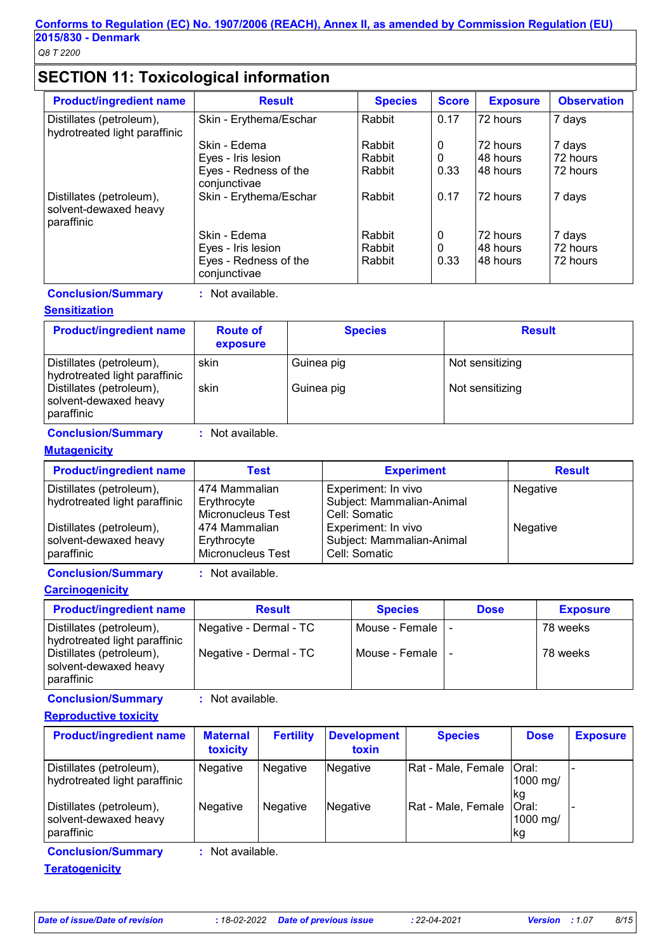# **SECTION 11: Toxicological information**

| <b>Product/ingredient name</b>                                  | <b>Result</b>                         | <b>Species</b> | <b>Score</b> | <b>Exposure</b> | <b>Observation</b> |
|-----------------------------------------------------------------|---------------------------------------|----------------|--------------|-----------------|--------------------|
| Distillates (petroleum),<br>hydrotreated light paraffinic       | Skin - Erythema/Eschar                | Rabbit         | 0.17         | 172 hours       | 7 days             |
|                                                                 | Skin - Edema                          | Rabbit         | 0            | 172 hours       | 7 days             |
|                                                                 | Eyes - Iris lesion                    | Rabbit         | 0            | 148 hours       | 72 hours           |
|                                                                 | Eyes - Redness of the<br>conjunctivae | Rabbit         | 0.33         | 148 hours       | 72 hours           |
| Distillates (petroleum),<br>solvent-dewaxed heavy<br>paraffinic | Skin - Erythema/Eschar                | Rabbit         | 0.17         | 72 hours        | 7 days             |
|                                                                 | Skin - Edema                          | Rabbit         | 0            | 72 hours        | 7 days             |
|                                                                 | Eyes - Iris lesion                    | Rabbit         | $\Omega$     | 148 hours       | 72 hours           |
|                                                                 | Eyes - Redness of the<br>conjunctivae | Rabbit         | 0.33         | 148 hours       | 72 hours           |

**Conclusion/Summary :** Not available.

#### **Sensitization**

| <b>Product/ingredient name</b>                                  | <b>Route of</b><br>exposure | <b>Species</b> | <b>Result</b>   |
|-----------------------------------------------------------------|-----------------------------|----------------|-----------------|
| Distillates (petroleum),<br>hydrotreated light paraffinic       | skin                        | Guinea pig     | Not sensitizing |
| Distillates (petroleum),<br>solvent-dewaxed heavy<br>paraffinic | skin                        | Guinea pig     | Not sensitizing |

**Conclusion/Summary :** Not available.

#### **Mutagenicity**

| <b>Product/ingredient name</b>                                  | Test                                                     | <b>Experiment</b>                                                 | <b>Result</b> |
|-----------------------------------------------------------------|----------------------------------------------------------|-------------------------------------------------------------------|---------------|
| Distillates (petroleum),<br>hydrotreated light paraffinic       | 474 Mammalian<br>Erythrocyte<br><b>Micronucleus Test</b> | Experiment: In vivo<br>Subject: Mammalian-Animal<br>Cell: Somatic | Negative      |
| Distillates (petroleum),<br>solvent-dewaxed heavy<br>paraffinic | 474 Mammalian<br>Erythrocyte<br>Micronucleus Test        | Experiment: In vivo<br>Subject: Mammalian-Animal<br>Cell: Somatic | Negative      |

**Conclusion/Summary :** Not available.

**Carcinogenicity**

| <b>Product/ingredient name</b>                                  | <b>Result</b>          | <b>Species</b>     | <b>Dose</b> | <b>Exposure</b> |
|-----------------------------------------------------------------|------------------------|--------------------|-------------|-----------------|
| Distillates (petroleum),<br>hydrotreated light paraffinic       | Negative - Dermal - TC | Mouse - Female I - |             | 78 weeks        |
| Distillates (petroleum),<br>solvent-dewaxed heavy<br>paraffinic | Negative - Dermal - TC | Mouse - Female I - |             | 78 weeks        |

**Conclusion/Summary :** Not available.

**Reproductive toxicity**

| Rat - Male, Female   Oral:<br>Distillates (petroleum),<br>Negative<br>Negative<br>Negative<br>hydrotreated light paraffinic<br>1000 mg/<br>lkg<br>Rat - Male, Female<br>Oral:<br><b>Negative</b><br>Negative<br>Negative<br>1000 mg/<br>paraffinic<br>kg | <b>Product/ingredient name</b> | <b>Maternal</b><br>toxicity | <b>Fertility</b> | <b>Development</b><br>toxin | <b>Species</b> | <b>Dose</b> | <b>Exposure</b> |
|----------------------------------------------------------------------------------------------------------------------------------------------------------------------------------------------------------------------------------------------------------|--------------------------------|-----------------------------|------------------|-----------------------------|----------------|-------------|-----------------|
| Distillates (petroleum),<br>solvent-dewaxed heavy                                                                                                                                                                                                        |                                |                             |                  |                             |                |             |                 |
|                                                                                                                                                                                                                                                          |                                |                             |                  |                             |                |             |                 |

**Conclusion/Summary :** Not available.

**Teratogenicity**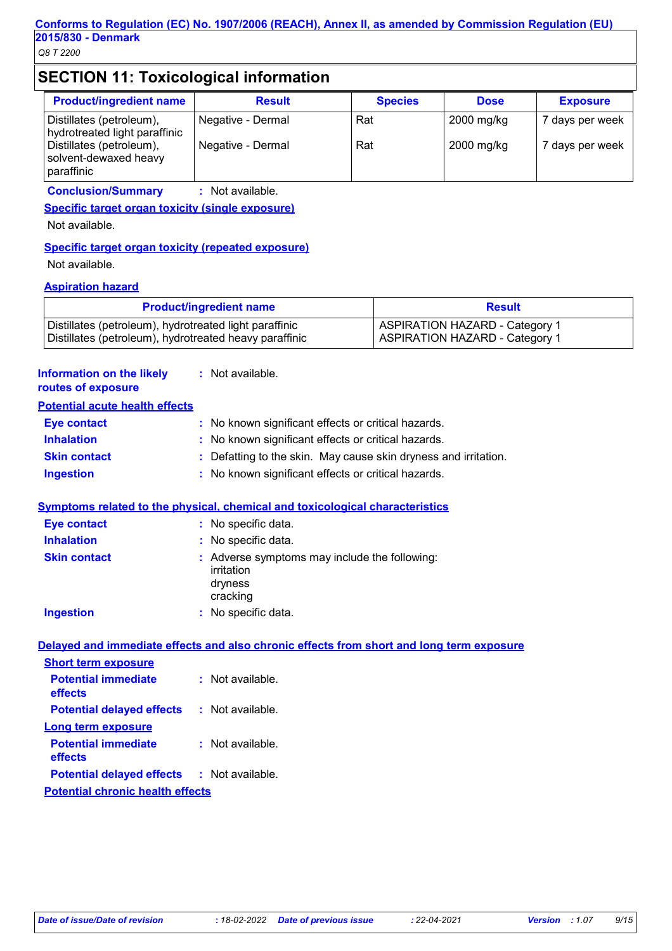# **SECTION 11: Toxicological information**

| <b>Product/ingredient name</b>                                  | <b>Result</b>     | <b>Species</b> | <b>Dose</b> | <b>Exposure</b> |
|-----------------------------------------------------------------|-------------------|----------------|-------------|-----------------|
| Distillates (petroleum),<br>hydrotreated light paraffinic       | Negative - Dermal | Rat            | 2000 mg/kg  | 7 days per week |
| Distillates (petroleum),<br>solvent-dewaxed heavy<br>paraffinic | Negative - Dermal | Rat            | 2000 mg/kg  | 7 days per week |

**Conclusion/Summary :** Not available.

**Specific target organ toxicity (single exposure)**

Not available.

#### **Specific target organ toxicity (repeated exposure)**

Not available.

#### **Aspiration hazard**

| <b>Product/ingredient name</b>                         | <b>Result</b>                         |
|--------------------------------------------------------|---------------------------------------|
| Distillates (petroleum), hydrotreated light paraffinic | <b>ASPIRATION HAZARD - Category 1</b> |
| Distillates (petroleum), hydrotreated heavy paraffinic | <b>ASPIRATION HAZARD - Category 1</b> |

| <b>Information on the likely</b><br>routes of exposure |    | : Not available.                                                                         |
|--------------------------------------------------------|----|------------------------------------------------------------------------------------------|
| <b>Potential acute health effects</b>                  |    |                                                                                          |
| <b>Eye contact</b>                                     | ÷. | No known significant effects or critical hazards.                                        |
| <b>Inhalation</b>                                      |    | No known significant effects or critical hazards.                                        |
| <b>Skin contact</b>                                    |    | Defatting to the skin. May cause skin dryness and irritation.                            |
| <b>Ingestion</b>                                       |    | No known significant effects or critical hazards.                                        |
|                                                        |    | Symptoms related to the physical, chemical and toxicological characteristics             |
| <b>Eye contact</b>                                     |    | : No specific data.                                                                      |
| <b>Inhalation</b>                                      |    | : No specific data.                                                                      |
| <b>Skin contact</b>                                    |    | : Adverse symptoms may include the following:<br>irritation<br>dryness<br>cracking       |
| <b>Ingestion</b>                                       |    | : No specific data.                                                                      |
|                                                        |    | Delayed and immediate effects and also chronic effects from short and long term exposure |
| <b>Short term exposure</b>                             |    |                                                                                          |
| <b>Potential immediate</b><br>effects                  |    | : Not available.                                                                         |
| <b>Potential delayed effects</b>                       |    | : Not available.                                                                         |
| <b>Long term exposure</b>                              |    |                                                                                          |
| <b>Potential immediate</b><br>effects                  |    | : Not available.                                                                         |
| <b>Potential delayed effects</b>                       |    | : Not available.                                                                         |
| <b>Potential chronic health effects</b>                |    |                                                                                          |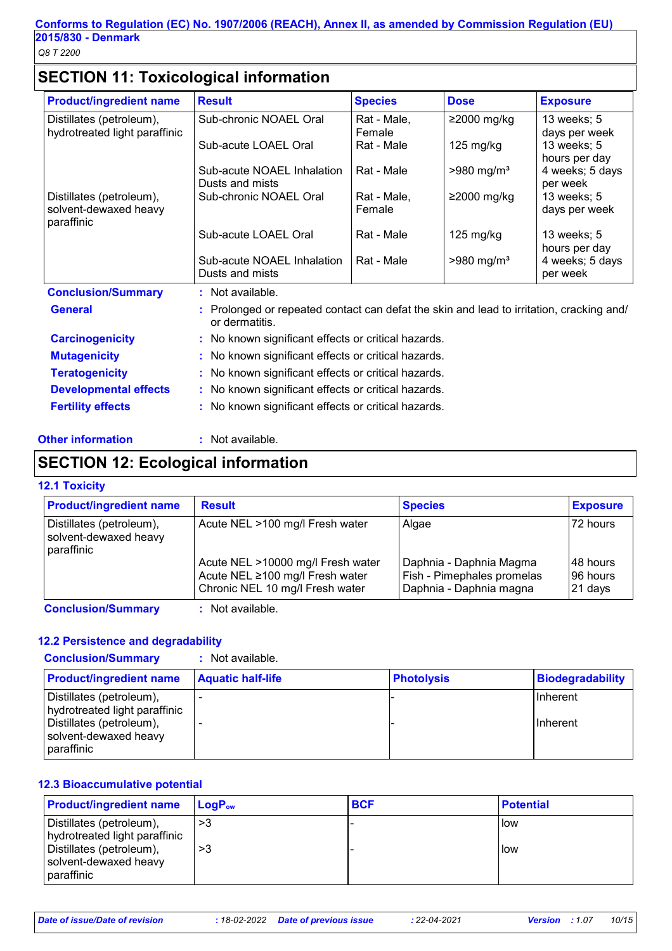# **SECTION 11: Toxicological information**

| <b>Product/ingredient name</b>                    | <b>Result</b>                                                                                              | <b>Species</b>        | <b>Dose</b>              | <b>Exposure</b>                               |
|---------------------------------------------------|------------------------------------------------------------------------------------------------------------|-----------------------|--------------------------|-----------------------------------------------|
| Distillates (petroleum),                          | Sub-chronic NOAEL Oral                                                                                     | Rat - Male,           | $≥2000$ mg/kg            | 13 weeks; 5                                   |
| hydrotreated light paraffinic                     | Sub-acute LOAEL Oral                                                                                       | Female<br>Rat - Male  | $125 \text{ mg/kg}$      | days per week<br>13 weeks; 5<br>hours per day |
|                                                   | Sub-acute NOAEL Inhalation<br>Dusts and mists                                                              | Rat - Male            | $>980$ mg/m <sup>3</sup> | 4 weeks; 5 days<br>per week                   |
| Distillates (petroleum),<br>solvent-dewaxed heavy | Sub-chronic NOAEL Oral                                                                                     | Rat - Male,<br>Female | ≥2000 mg/kg              | 13 weeks; 5<br>days per week                  |
| paraffinic                                        | Sub-acute LOAEL Oral                                                                                       | Rat - Male            | $125 \text{ mg/kg}$      | 13 weeks; 5<br>hours per day                  |
|                                                   | Sub-acute NOAEL Inhalation<br>Dusts and mists                                                              | Rat - Male            | $>980$ mg/m <sup>3</sup> | 4 weeks; 5 days<br>per week                   |
| <b>Conclusion/Summary</b>                         | : Not available.                                                                                           |                       |                          |                                               |
| <b>General</b>                                    | : Prolonged or repeated contact can defat the skin and lead to irritation, cracking and/<br>or dermatitis. |                       |                          |                                               |
| <b>Carcinogenicity</b>                            | : No known significant effects or critical hazards.                                                        |                       |                          |                                               |
| <b>Mutagenicity</b>                               | : No known significant effects or critical hazards.                                                        |                       |                          |                                               |
| <b>Teratogenicity</b>                             | : No known significant effects or critical hazards.                                                        |                       |                          |                                               |
| <b>Developmental effects</b>                      | : No known significant effects or critical hazards.                                                        |                       |                          |                                               |
| <b>Fertility effects</b>                          | : No known significant effects or critical hazards.                                                        |                       |                          |                                               |

#### **Other information :** Not available.

## **SECTION 12: Ecological information**

#### **12.1 Toxicity**

| Distillates (petroleum),<br>Acute NEL >100 mg/l Fresh water<br>Algae<br>solvent-dewaxed heavy<br>paraffinic<br>Acute NEL >10000 mg/l Fresh water<br>Daphnia - Daphnia Magma | <b>Product/ingredient name</b> | <b>Result</b>                   | <b>Species</b>             | <b>Exposure</b>                    |
|-----------------------------------------------------------------------------------------------------------------------------------------------------------------------------|--------------------------------|---------------------------------|----------------------------|------------------------------------|
|                                                                                                                                                                             |                                |                                 |                            | 72 hours                           |
| Chronic NEL 10 mg/l Fresh water<br>Daphnia - Daphnia magna                                                                                                                  |                                | Acute NEL ≥100 mg/l Fresh water | Fish - Pimephales promelas | l 48 hours<br>196 hours<br>21 days |

**Conclusion/Summary :** Not available.

#### **12.2 Persistence and degradability**

| <b>Conclusion/Summary</b>                                                                                                    | $:$ Not available.       |                   |                                    |
|------------------------------------------------------------------------------------------------------------------------------|--------------------------|-------------------|------------------------------------|
| <b>Product/ingredient name</b>                                                                                               | <b>Aquatic half-life</b> | <b>Photolysis</b> | Biodegradability                   |
| Distillates (petroleum),<br>hydrotreated light paraffinic<br>Distillates (petroleum),<br>solvent-dewaxed heavy<br>paraffinic |                          |                   | <b>Inherent</b><br><b>Inherent</b> |

#### **12.3 Bioaccumulative potential**

| <b>Product/ingredient name</b>                                                        | $\mathsf{LogP}_\mathsf{ow}$ | <b>BCF</b> | <b>Potential</b> |
|---------------------------------------------------------------------------------------|-----------------------------|------------|------------------|
| Distillates (petroleum),<br>hydrotreated light paraffinic<br>Distillates (petroleum), | >3<br>>3                    |            | llow<br>How      |
| solvent-dewaxed heavy<br>paraffinic                                                   |                             |            |                  |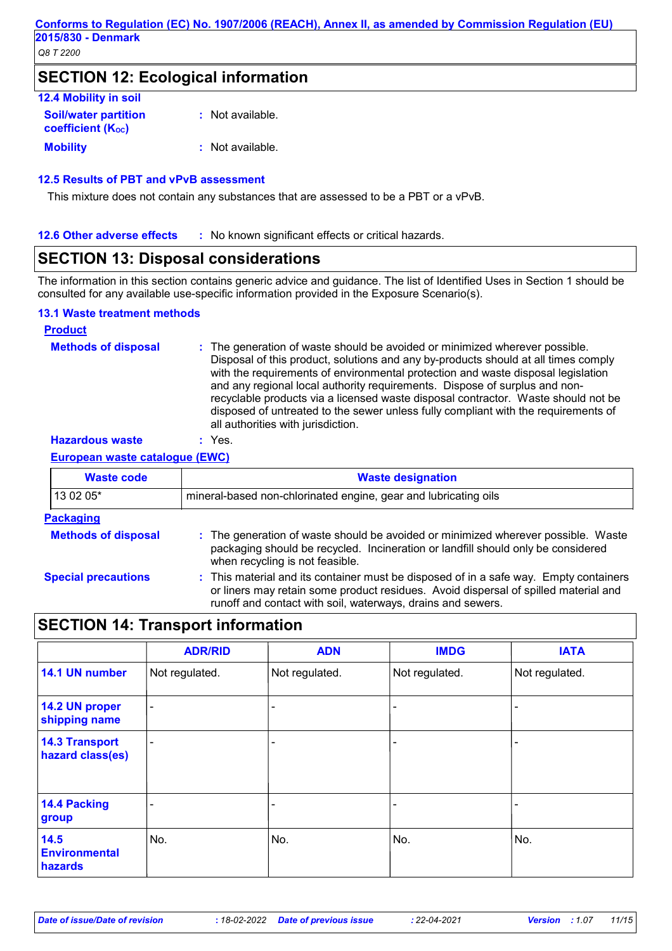## **SECTION 12: Ecological information**

| <b>12.4 Mobility in soil</b>                            |                  |
|---------------------------------------------------------|------------------|
| <b>Soil/water partition</b><br><b>coefficient (Koc)</b> | : Not available. |
| <b>Mobility</b>                                         | : Not available. |

#### **12.5 Results of PBT and vPvB assessment**

This mixture does not contain any substances that are assessed to be a PBT or a vPvB.

#### **12.6 Other adverse effects** : No known significant effects or critical hazards.

# **SECTION 13: Disposal considerations**

The information in this section contains generic advice and guidance. The list of Identified Uses in Section 1 should be consulted for any available use-specific information provided in the Exposure Scenario(s).

#### **13.1 Waste treatment methods**

| <b>Product</b>             |                                                                                                                                                                                                                                                                                                                                                                                                                                                                                                                                                      |
|----------------------------|------------------------------------------------------------------------------------------------------------------------------------------------------------------------------------------------------------------------------------------------------------------------------------------------------------------------------------------------------------------------------------------------------------------------------------------------------------------------------------------------------------------------------------------------------|
| <b>Methods of disposal</b> | : The generation of waste should be avoided or minimized wherever possible.<br>Disposal of this product, solutions and any by-products should at all times comply<br>with the requirements of environmental protection and waste disposal legislation<br>and any regional local authority requirements. Dispose of surplus and non-<br>recyclable products via a licensed waste disposal contractor. Waste should not be<br>disposed of untreated to the sewer unless fully compliant with the requirements of<br>all authorities with jurisdiction. |
| <b>Hazardous waste</b>     | Yes.                                                                                                                                                                                                                                                                                                                                                                                                                                                                                                                                                 |

#### **European waste catalogue (EWC)**

| <b>Waste code</b>          | <b>Waste designation</b>                                                                                                                                                                                                                    |  |  |  |
|----------------------------|---------------------------------------------------------------------------------------------------------------------------------------------------------------------------------------------------------------------------------------------|--|--|--|
| 13 02 05*                  | mineral-based non-chlorinated engine, gear and lubricating oils                                                                                                                                                                             |  |  |  |
| <b>Packaging</b>           |                                                                                                                                                                                                                                             |  |  |  |
| <b>Methods of disposal</b> | : The generation of waste should be avoided or minimized wherever possible. Waste<br>packaging should be recycled. Incineration or landfill should only be considered<br>when recycling is not feasible.                                    |  |  |  |
| <b>Special precautions</b> | : This material and its container must be disposed of in a safe way. Empty containers<br>or liners may retain some product residues. Avoid dispersal of spilled material and<br>runoff and contact with soil, waterways, drains and sewers. |  |  |  |

## **SECTION 14: Transport information**

|                                           | <b>ADR/RID</b> | <b>ADN</b>     | <b>IMDG</b>    | <b>IATA</b>    |
|-------------------------------------------|----------------|----------------|----------------|----------------|
| 14.1 UN number                            | Not regulated. | Not regulated. | Not regulated. | Not regulated. |
| 14.2 UN proper<br>shipping name           | ۰              |                |                |                |
| <b>14.3 Transport</b><br>hazard class(es) | ۰              |                |                |                |
| 14.4 Packing<br>group                     |                |                |                |                |
| 14.5<br><b>Environmental</b><br>hazards   | No.            | No.            | No.            | No.            |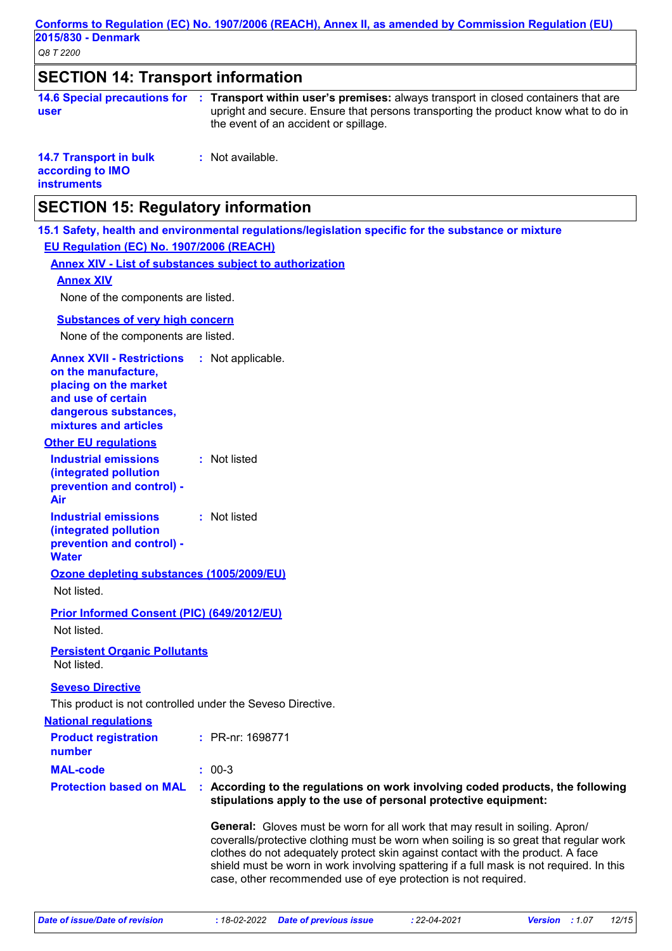#### *Q8 T 2200* **Conforms to Regulation (EC) No. 1907/2006 (REACH), Annex II, as amended by Commission Regulation (EU) 2015/830 - Denmark SECTION 14: Transport information 14.6 Special precautions for : Transport within user's premises:** always transport in closed containers that are **user** upright and secure. Ensure that persons transporting the product know what to do in the event of an accident or spillage. **14.7 Transport in bulk according to IMO instruments :** Not available. **National regulations Other EU regulations Annex XVII - Restrictions on the manufacture, placing on the market and use of certain dangerous substances, mixtures and articles** : Not applicable. **Industrial emissions (integrated pollution prevention and control) - Air :** Not listed **Industrial emissions (integrated pollution prevention and control) - Water :** Not listed **SECTION 15: Regulatory information 15.1 Safety, health and environmental regulations/legislation specific for the substance or mixture EU Regulation (EC) No. 1907/2006 (REACH) Annex XIV - List of substances subject to authorization MAL-code :** 00-3 **Product registration number :** PR-nr: 1698771 **Protection based on MAL : According to the regulations on work involving coded products, the following stipulations apply to the use of personal protective equipment: General:** Gloves must be worn for all work that may result in soiling. Apron/ coveralls/protective clothing must be worn when soiling is so great that regular work clothes do not adequately protect skin against contact with the product. A face shield must be worn in work involving spattering if a full mask is not required. In this **Seveso Directive** This product is not controlled under the Seveso Directive. **Ozone depleting substances (1005/2009/EU)** Not listed. **Prior Informed Consent (PIC) (649/2012/EU)** Not listed. **Substances of very high concern** None of the components are listed. **Annex XIV** None of the components are listed. **Persistent Organic Pollutants** Not listed.

case, other recommended use of eye protection is not required.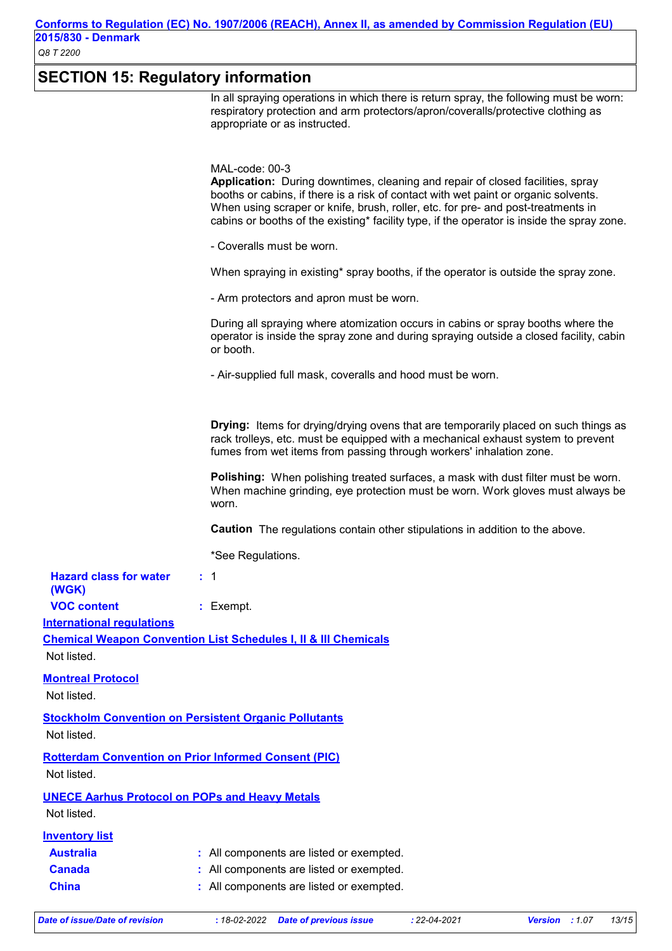# **SECTION 15: Regulatory information**

|                                                       | In all spraying operations in which there is return spray, the following must be worn:<br>respiratory protection and arm protectors/apron/coveralls/protective clothing as<br>appropriate or as instructed.                                                                                                                                                               |
|-------------------------------------------------------|---------------------------------------------------------------------------------------------------------------------------------------------------------------------------------------------------------------------------------------------------------------------------------------------------------------------------------------------------------------------------|
|                                                       | MAL-code: 00-3<br>Application: During downtimes, cleaning and repair of closed facilities, spray<br>booths or cabins, if there is a risk of contact with wet paint or organic solvents.<br>When using scraper or knife, brush, roller, etc. for pre- and post-treatments in<br>cabins or booths of the existing* facility type, if the operator is inside the spray zone. |
|                                                       | - Coveralls must be worn.                                                                                                                                                                                                                                                                                                                                                 |
|                                                       | When spraying in existing* spray booths, if the operator is outside the spray zone.                                                                                                                                                                                                                                                                                       |
|                                                       | - Arm protectors and apron must be worn.                                                                                                                                                                                                                                                                                                                                  |
|                                                       | During all spraying where atomization occurs in cabins or spray booths where the<br>operator is inside the spray zone and during spraying outside a closed facility, cabin<br>or booth.                                                                                                                                                                                   |
|                                                       | - Air-supplied full mask, coveralls and hood must be worn.                                                                                                                                                                                                                                                                                                                |
|                                                       | <b>Drying:</b> Items for drying/drying ovens that are temporarily placed on such things as<br>rack trolleys, etc. must be equipped with a mechanical exhaust system to prevent<br>fumes from wet items from passing through workers' inhalation zone.                                                                                                                     |
|                                                       | Polishing: When polishing treated surfaces, a mask with dust filter must be worn.<br>When machine grinding, eye protection must be worn. Work gloves must always be<br>worn.                                                                                                                                                                                              |
|                                                       | <b>Caution</b> The regulations contain other stipulations in addition to the above.                                                                                                                                                                                                                                                                                       |
|                                                       | *See Regulations.                                                                                                                                                                                                                                                                                                                                                         |
| <b>Hazard class for water</b><br>(WGK)                | : 1                                                                                                                                                                                                                                                                                                                                                                       |
| <b>VOC content</b>                                    | : Exempt.                                                                                                                                                                                                                                                                                                                                                                 |
| <b>International regulations</b>                      |                                                                                                                                                                                                                                                                                                                                                                           |
| Not listed.                                           | <b>Chemical Weapon Convention List Schedules I, II &amp; III Chemicals</b>                                                                                                                                                                                                                                                                                                |
| <b>Montreal Protocol</b>                              |                                                                                                                                                                                                                                                                                                                                                                           |
| Not listed.                                           |                                                                                                                                                                                                                                                                                                                                                                           |
|                                                       | <b>Stockholm Convention on Persistent Organic Pollutants</b>                                                                                                                                                                                                                                                                                                              |
| Not listed.                                           |                                                                                                                                                                                                                                                                                                                                                                           |
|                                                       | <b>Rotterdam Convention on Prior Informed Consent (PIC)</b>                                                                                                                                                                                                                                                                                                               |
| Not listed.                                           |                                                                                                                                                                                                                                                                                                                                                                           |
| <b>UNECE Aarhus Protocol on POPs and Heavy Metals</b> |                                                                                                                                                                                                                                                                                                                                                                           |
| Not listed.                                           |                                                                                                                                                                                                                                                                                                                                                                           |
| <b>Inventory list</b>                                 |                                                                                                                                                                                                                                                                                                                                                                           |
| <b>Australia</b>                                      | : All components are listed or exempted.                                                                                                                                                                                                                                                                                                                                  |
| <b>Canada</b>                                         | All components are listed or exempted.                                                                                                                                                                                                                                                                                                                                    |
| <b>China</b>                                          | : All components are listed or exempted.                                                                                                                                                                                                                                                                                                                                  |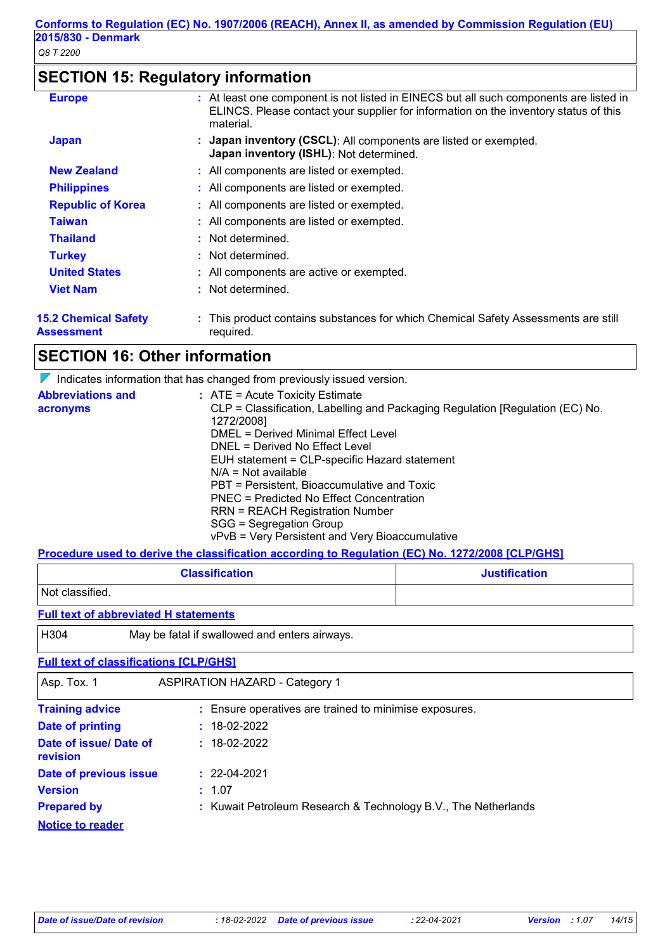# **SECTION 15: Regulatory information**

| <b>15.2 Chemical Safety</b><br>Assessment | : This product contains substances for which Chemical Safety Assessments are still<br>required.                                                                                             |
|-------------------------------------------|---------------------------------------------------------------------------------------------------------------------------------------------------------------------------------------------|
| <b>Viet Nam</b>                           | : Not determined.                                                                                                                                                                           |
| <b>United States</b>                      | : All components are active or exempted.                                                                                                                                                    |
| <b>Turkey</b>                             | : Not determined.                                                                                                                                                                           |
| <b>Thailand</b>                           | : Not determined.                                                                                                                                                                           |
| <b>Taiwan</b>                             | : All components are listed or exempted.                                                                                                                                                    |
| <b>Republic of Korea</b>                  | : All components are listed or exempted.                                                                                                                                                    |
| <b>Philippines</b>                        | : All components are listed or exempted.                                                                                                                                                    |
| <b>New Zealand</b>                        | : All components are listed or exempted.                                                                                                                                                    |
| <b>Japan</b>                              | : Japan inventory (CSCL): All components are listed or exempted.<br><b>Japan inventory (ISHL)</b> : Not determined.                                                                         |
| <b>Europe</b>                             | : At least one component is not listed in EINECS but all such components are listed in<br>ELINCS. Please contact your supplier for information on the inventory status of this<br>material. |

# **SECTION 16: Other information**

 $\nabla$  Indicates information that has changed from previously issued version.

| <b>Abbreviations and</b> | $:$ ATE = Acute Toxicity Estimate                                             |
|--------------------------|-------------------------------------------------------------------------------|
| acronyms                 | CLP = Classification, Labelling and Packaging Regulation [Regulation (EC) No. |
|                          | 1272/2008]                                                                    |
|                          | DMEL = Derived Minimal Effect Level                                           |
|                          | DNEL = Derived No Effect Level                                                |
|                          | EUH statement = CLP-specific Hazard statement                                 |
|                          | $N/A = Not available$                                                         |
|                          | PBT = Persistent, Bioaccumulative and Toxic                                   |
|                          | PNEC = Predicted No Effect Concentration                                      |
|                          | RRN = REACH Registration Number                                               |
|                          | SGG = Segregation Group                                                       |
|                          | vPvB = Very Persistent and Very Bioaccumulative                               |

**Procedure used to derive the classification according to Regulation (EC) No. 1272/2008 [CLP/GHS]**

| <b>Classification</b> | <b>Justification</b> |
|-----------------------|----------------------|
| Not classified.       |                      |

#### **Full text of abbreviated H statements**

H304 May be fatal if swallowed and enters airways.

#### **Full text of classifications [CLP/GHS]**

| Asp. Tox. 1                               | <b>ASPIRATION HAZARD - Category 1</b>                          |
|-------------------------------------------|----------------------------------------------------------------|
| <b>Training advice</b>                    | : Ensure operatives are trained to minimise exposures.         |
| <b>Date of printing</b>                   | $: 18-02-2022$                                                 |
| Date of issue/ Date of<br><b>revision</b> | $: 18-02-2022$                                                 |
| Date of previous issue                    | $: 22-04-2021$                                                 |
| <b>Version</b>                            | : 1.07                                                         |
| <b>Prepared by</b>                        | : Kuwait Petroleum Research & Technology B.V., The Netherlands |
| <b>Notice to reader</b>                   |                                                                |